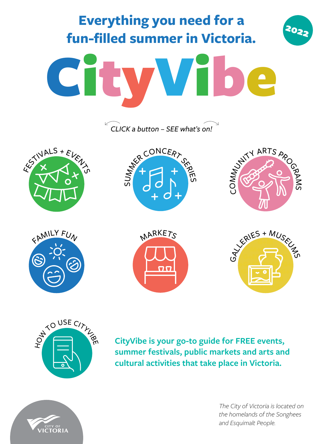<span id="page-0-0"></span>



**CityVibe is your go-to guide for FREE events, summer festivals, public markets and arts and cultural activities that take place in Victoria.**



*The City of Victoria is located on the homelands of the Songhees and Esquimalt People.*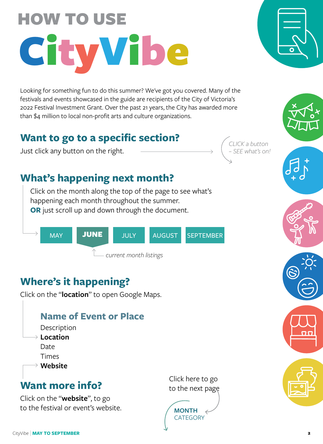# <span id="page-1-0"></span>HOW TO USE CityVibe

Looking for something fun to do this summer? We've got you covered. Many of the festivals and events showcased in the guide are recipients of the City of Victoria's 2022 Festival Investment Grant. Over the past 21 years, the City has awarded more than \$4 million to local non-profit arts and culture organizations.

# **Want to go to a specific section?**

Just click any button on the right.

*CLICK a button – SEE what's on!*

# **What's happening next month?**

Click on the month along the top of the page to see what's happening each month throughout the summer. **OR** just scroll up and down through the document.



# **Where's it happening?**

Click on the "**location**" to open Google Maps.

# **Name of Event or Plac[e](https://victoriahighlandgames.com/)**

- Description
- **Location** Date
	- Times
- **Website**

# **Want more info?**

Click on the "**website**", to go to the festival or event's website. Click here to go to the next page



 $\overline{\mathbf{u}}$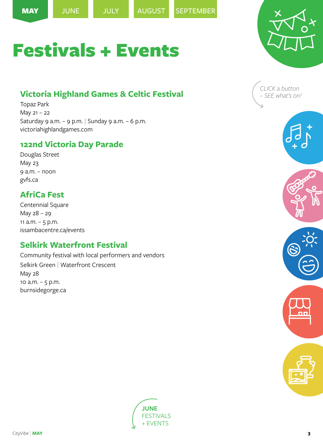<span id="page-2-0"></span>



# **[Victoria Highland Games & Celtic Festival](https://victoriahighlandgames.com/)**

[Topaz Park](https://www.google.com/maps?client=firefox-b-d&q=topaz+park+victoria+bc&um=1&ie=UTF-8&sa=X&ved=2ahUKEwiJk6rj6ZH3AhXNHzQIHdm9AGoQ_AUoAXoECAIQAw) May 21 – 22 Saturday 9 a.m. - 9 p.m. | Sunday 9 a.m. - 6 p.m. [victoriahighlandgames.com](https://victoriahighlandgames.com/)

### **122nd Victoria Day Parade**

[Douglas Street](https://www.google.com/maps/place/Douglas+St,+Victoria,+BC/@48.4295924,-123.3645015,17z/data=!3m1!4b1!4m5!3m4!1s0x548f7482f48ef7bf:0xdde0499a907f511!8m2!3d48.4295924!4d-123.3645015) May 23 9 a.m. – noon [gvfs.ca](https://gvfs.ca/gvfs_events/thrifty-foods-122nd-victoria-day-parade-presented-by-chek-tv/)

# **AfriCa Fest**

[Centennial Square](https://www.google.com/maps/place/Centennial+Square/@48.4287178,-123.3657246,15z/data=!4m5!3m4!1s0x0:0x284b11569bbecd16!8m2!3d48.4287178!4d-123.3657246) May 28 – 29 11  $a.m. - 5 p.m.$ [issambacentre.ca/events](https://www.issambacentre.ca/events)

# **Selkirk Waterfront Festival**

Community festival with local performers and vendors [Selkirk Green | Waterfront Cresc](https://www.google.com/maps/place/Selkirk+Green+Park/@48.4413654,-123.3791083,15z/data=!4m5!3m4!1s0x0:0x6562fd75b1b32c40!8m2!3d48.4413654!4d-123.3791083)ent May 28 10 a.m. – 5 p.m. [burnsidegorge.ca](https://burnsidegorge.ca/special-events/selkirk-waterfront-festival/)





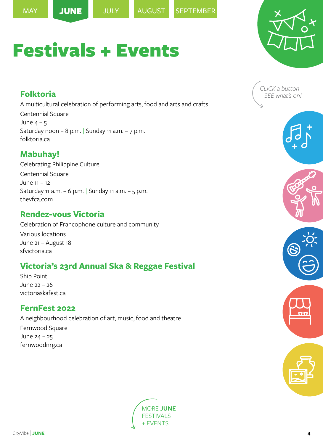

# <span id="page-3-0"></span>**Folktoria**

A multicultural celebration of performing arts, food and arts and crafts [Centennial Square](https://www.google.com/maps/place/Centennial+Square/@48.4287178,-123.3657246,15z/data=!4m5!3m4!1s0x0:0x284b11569bbecd16!8m2!3d48.4287178!4d-123.3657246) June  $4 - 5$ Saturday noon – 8 p.m. Sunday 11 a.m. – 7 p.m. [folktoria.ca](https://www.folktoria.ca/)

# **Mabuhay!**

Celebrating Philippine Culture [Centennial Square](https://www.google.com/maps/place/Centennial+Square/@48.4287178,-123.3657246,15z/data=!4m5!3m4!1s0x0:0x284b11569bbecd16!8m2!3d48.4287178!4d-123.3657246) June 11 – 12 Saturday 11 a.m. – 6 p.m. | Sunday 11 a.m. – 5 p.m. [thevfca.com](https://www.thevfca.com/)

### **Rendez-vous Victoria**

Celebration of Francophone culture and community Various locations June 21 – August 18 [sfvictoria.ca](https://www.sfvictoria.ca/)

# **Victoria's 23rd Annual Ska & Reggae Festival**

[Ship Point](https://www.google.com/maps/place/Ship+Point+Market/@48.4228659,-123.3689381,15z/data=!4m5!3m4!1s0x0:0xc2032900f15f7afe!8m2!3d48.4228659!4d-123.3689381) June 22 – 26 [victoriaskafest.ca](https://victoriaskafest.ca/)

### **FernFest 2022**

A neighbourhood celebration of art, music, food and theatre [Fernwood Square](https://www.google.com/maps/place/Fernwood+Square/@48.4304286,-123.3454974,15z/data=!4m5!3m4!1s0x0:0xc70f631388c0c450!8m2!3d48.4304286!4d-123.3454974) June 24 – 25 [fernwoodnrg.ca](https://fernwoodnrg.ca/events-directory/fernfest/)







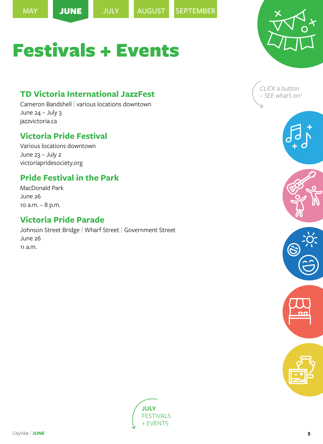

# <span id="page-4-0"></span>**TD Victoria International JazzFest**

[Cameron Bandshell](https://www.google.com/maps/place/Cameron+Bandshell/@48.4140194,-123.3649337,15z/data=!4m5!3m4!1s0x0:0xdabddc2c4689b33b!8m2!3d48.4140194!4d-123.3649337) | various locations downtown June  $24 -$  July 3 [jazzvictoria.ca](https://jazzvictoria.ca/)

# **Victoria Pride Festival**

Various locations downtown June 23 – July 2 [victoriapridesociety.org](https://victoriapridesociety.org/)

# **Pride Festival in the Park**

[MacDonald Park](https://www.google.com/maps/place/MacDonald+Park,+Niagara+St,+Victoria,+BC/@48.4175802,-123.3806791,15z/data=!4m5!3m4!1s0x0:0x8c56088bfa864123!8m2!3d48.4175802!4d-123.3806791) June 26 10 a.m. – 8 p.m.

## **Victoria Pride Parade**

[Johnson Street Bridge](https://www.google.com/maps/place/Johnson+Street+Bridge/@48.4282598,-123.3721465,15z/data=!4m5!3m4!1s0x0:0x5a83be27f477e403!8m2!3d48.4282598!4d-123.3721465) | [Wharf St](https://www.google.com/maps/place/Wharf+St,+Victoria,+BC/@48.4259352,-123.3699442,17z/data=!3m1!4b1!4m5!3m4!1s0x548f749ae3182915:0xefb4be9268e15f60!8m2!3d48.4259352!4d-123.3699442)reet | [Government Str](https://www.google.com/maps/place/Government+St,+Victoria,+BC/@48.4242187,-123.3680253,17z/data=!3m1!4b1!4m5!3m4!1s0x548f749a59d2eab5:0xd51ed032eb15a139!8m2!3d48.4242187!4d-123.3680253)eet June 26 11 a.m.







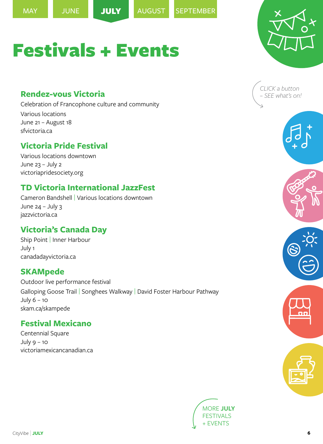<span id="page-5-0"></span>



# **Rendez-vous Victoria**

Celebration of Francophone culture and community Various locations June 21 – August 18 [sfvictoria.ca](https://www.sfvictoria.ca/)

Festivals + Events

#### **Victoria Pride Festival**

Various locations downtown June 23 – July 2 [victoriapridesociety.org](https://victoriapridesociety.org/)

### **TD Victoria International JazzFest**

[Cameron Bandshell](https://www.google.com/maps/place/Cameron+Bandshell/@48.4140194,-123.3649337,15z/data=!4m2!3m1!1s0x0:0xdabddc2c4689b33b?sa=X&ved=2ahUKEwijxujSwaX3AhUjPn0KHerNATkQ_BJ6BAhSEAU) | Various locations downtown June 24 – July 3 [jazzvictoria.ca](https://jazzvictoria.ca/)

# **Victoria's Canada Day**

[Ship Point | Inner Harbour](https://www.google.com/maps/place/Ship+Point+Market/@48.4228659,-123.3689381,15z/data=!4m5!3m4!1s0x0:0xc2032900f15f7afe!8m2!3d48.4228659!4d-123.3689381) July 1 [canadadayvictoria.ca](https://www.canadadayvictoria.ca/)

### **SKAMpede**

Outdoor live performance festival [Galloping Goose Trail](https://www.google.com/maps/place/Galloping+Goose+Trail,+British+Columbia/@48.4265348,-123.5321222,17z/data=!3m1!4b1!4m5!3m4!1s0x548f0cd2bd8d8a0b:0x22c24a677c6d5fda!8m2!3d48.4265348!4d-123.5321222) | [Songhees Walkway](https://www.google.com/maps/place/Songhees+Walkway,+British+Columbia/@48.4280923,-123.3858425,17z/data=!3m1!4b1!4m5!3m4!1s0x548f749fc3642343:0x5b16435314340ec6!8m2!3d48.4280923!4d-123.3858425) | [David Foster Harbour Pathway](https://www.google.com/maps/place/David+Foster+Harbour+Pathway/@48.422071,-123.3811479,15z/data=!4m5!3m4!1s0x0:0xf3a30af02a5e14db!8m2!3d48.422071!4d-123.3811479) July 6 – 10 [skam.ca/skampede](https://skam.ca/skampede/)

### **Festival Mexicano**

[Centennial Square](https://www.google.com/maps/place/Centennial+Square/@48.4287178,-123.3657246,15z/data=!4m2!3m1!1s0x0:0x284b11569bbecd16?sa=X&ved=2ahUKEwiP87rwwqX3AhX6HTQIHQ-jD9cQ_BJ6BAhaEAU) July 9 – 10 [victoriamexicancanadian.ca](http://victoriamexicancanadian.ca/)







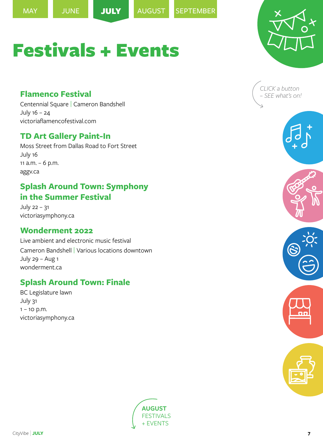<span id="page-6-0"></span>

### **Flamenco Festival**

[Centennial Square](https://www.google.com/maps/place/Centennial+Square/@48.4287178,-123.3657246,15z/data=!4m5!3m4!1s0x0:0x284b11569bbecd16!8m2!3d48.4287178!4d-123.3657246) | [Cameron Bandshell](https://www.google.com/maps/place/Cameron+Bandshell/@48.4140194,-123.3649337,15z/data=!4m5!3m4!1s0x0:0xdabddc2c4689b33b!8m2!3d48.4140194!4d-123.3649337) July 16 – 24 [victoriaflamencofestival.com](https://www.victoriaflamencofestival.com/)

### **TD Art Gallery Paint-In**

[Moss Street from Dallas Road to Fort Street](https://www.google.com/maps/place/Moss+St,+Victoria,+BC/@48.4142533,-123.3512368,17z/data=!3m1!4b1!4m5!3m4!1s0x548f74f2420674c3:0x48fc269e8b4f702c!8m2!3d48.4142533!4d-123.3490481) July 16 11 a.m. – 6 p.m. [aggv.ca](https://aggv.ca/events/td-art-gallery-paint-in-2022/)

# **Splash Around Town: Symphony in the Summer Festival**

July 22 – 31 [victoriasymphony.ca](https://victoriasymphony.ca/community/outreach/symphony-in-the-summer/)

### **Wonderment 2022**

Live ambient and electronic music festival [Cameron Bandshell](https://www.google.com/maps/place/Cameron+Bandshell/@48.4140194,-123.3649337,15z/data=!4m5!3m4!1s0x0:0xdabddc2c4689b33b!8m2!3d48.4140194!4d-123.3649337) | Various locations downtown July 29 – Aug 1 [wonderment.ca](https://wonderment.ca/)

# **Splash Around Town: Finale**

[BC Legislature lawn](https://www.google.com/maps/place/Legislative+Assembly+of+British+Columbia/@48.4196283,-123.3702583,15z/data=!4m5!3m4!1s0x0:0xa8b8a32c37be6e1d!8m2!3d48.4196283!4d-123.3702583) July 31  $1 - 10$  p.m. [victoriasymphony.ca](https://victoriasymphony.ca/community/outreach/symphony-in-the-summer/)







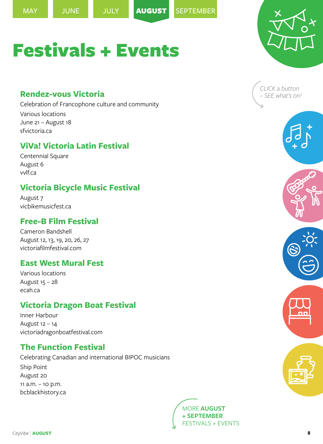<span id="page-7-0"></span>



#### **Rendez-vous Victoria**

Celebration of Francophone culture and community Various locations June 21 – August 18 [sfvictoria.ca](https://www.sfvictoria.ca/)

# **ViVa! Victoria Latin Festival**

[Centennial Square](https://www.google.com/maps/place/Centennial+Square/@48.4287178,-123.3657246,15z/data=!4m5!3m4!1s0x0:0x284b11569bbecd16!8m2!3d48.4287178!4d-123.3657246) August 6 [vvlf.ca](https://vvlf.ca/)

# **Victoria Bicycle Music Festival**

August 7 [vicbikemusicfest.ca](http://www.vicbikemusicfest.ca/)

#### **Free-B Film Festival**

[Cameron Bandshell](https://www.google.com/maps/place/Cameron+Bandshell/@48.4140194,-123.3649337,15z/data=!4m5!3m4!1s0x0:0xdabddc2c4689b33b!8m2!3d48.4140194!4d-123.3649337) August 12, 13, 19, 20, 26, 27 [victoriafilmfestival.com](https://www.victoriafilmfestival.com/product/free-b-film-festival/)

### **East West Mural Fest**

Various locations August 15 – 28 [ecah.ca](https://www.ecah.ca/mural-festival)

# **Victoria Dragon Boat Festival**

[Inner Harbour](https://www.google.com/maps/place/Inner-Harbour+Pathway,+Victoria,+BC+V8V+1W9/@48.4208445,-123.3714009,17z/data=!3m1!4b1!4m5!3m4!1s0x548f749a6f5312c9:0x1ab20947bec5e0bd!8m2!3d48.4208445!4d-123.3692122) August 12 – 14 [victoriadragonboatfestival.com](https://victoriadragonboatfestival.com/)

# **[The Function Festival](http://bcblackhistory.ca/events/)**

Celebrating Canadian and international BIPOC musicians [Ship Point](https://www.google.com/maps/place/Ship+Point+Market/@48.4228659,-123.3711268,17z/data=!3m1!4b1!4m5!3m4!1s0x548f7490a205d6c9:0xc2032900f15f7afe!8m2!3d48.4228659!4d-123.3689381) August 20 11 a.m. – 10 p.m. [bcblackhistory.ca](http://bcblackhistory.ca/events/)







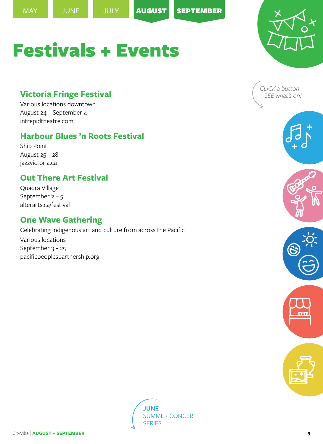<span id="page-8-0"></span>



# **Victoria Fringe Festival**

[Various locations downtown](https://www.google.com/maps/place/Downtown,+Victoria,+BC/@48.4258227,-123.3742772,15z/data=!3m1!4b1!4m5!3m4!1s0x548f7485365d4cc9:0x1ed8d37dd7f1b902!8m2!3d48.4261169!4d-123.3642211) August 24 – September 4 [intrepidtheatre.com](https://intrepidtheatre.com/festivals/fringe-festival/)

# **Harbour Blues 'n Roots Festival**

[Ship Point](https://www.google.com/maps/place/Ship+Point+Market/@48.4228659,-123.3689381,15z/data=!4m5!3m4!1s0x0:0xc2032900f15f7afe!8m2!3d48.4228659!4d-123.3689381) August 25 – 28 [jazzvictoria.ca](https://jazzvictoria.ca/harbour-blues/)

# **Out There Art Festival**

[Quadra Village](https://www.google.com/maps/search/Quadra+Village/@48.4377572,-123.3609051,18z/data=!3m1!4b1) September 2 – 5 [alterarts.ca/festival](https://www.alterarts.ca/festival)

# **One Wave Gathering**

Celebrating Indigenous art and culture from across the Pacific Various locations September  $3 - 25$ [pacificpeoplespartnership.org](https://pacificpeoplespartnership.org/)







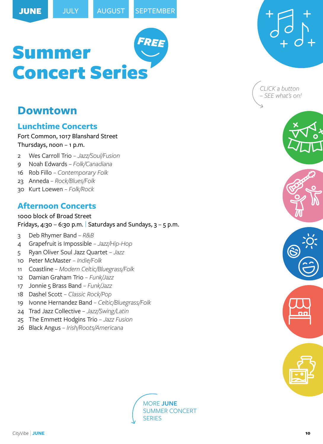# <span id="page-9-0"></span>**Downtown**

#### **Lunchtime Concerts**

[Fort Common, 1017 Blanshard Street](https://www.google.com/maps/place/The+Fort+Common/@48.4240958,-123.3622248,15z/data=!4m5!3m4!1s0x0:0x51a69e3352dc15f4!8m2!3d48.4240958!4d-123.3622248) Thursdays, noon – 1 p.m.

- 2 Wes Carroll Trio  *Jazz/Soul/Fusion*
- 9 Noah Edwards  *Folk/Canadiana*
- 16 Rob Fillo  *Contemporary Folk*
- 23 Anneda  *Rock/Blues/Folk*
- 30 Kurt Loewen  *Folk/Rock*

# **Afternoon Concerts**

[1000 block of Broad Street](https://www.google.com/maps/place/1000+Broad+St,+Victoria,+BC+V8W+1Z9/@48.4241895,-123.3689147,17z/data=!3m1!4b1!4m5!3m4!1s0x548f749aa2523ffb:0xef3b85b316845135!8m2!3d48.4241895!4d-123.366726) Fridays, 4:30 – 6:30 p.m. Saturdays and Sundays,  $3 - 5$  p.m.

- 3 Deb Rhymer Band  *R&B*
- 4 Grapefruit is Impossible  *Jazz/Hip-Hop*
- 5 Ryan Oliver Soul Jazz Quartet  *Jazz*
- 10 Peter McMaster  *Indie/Folk*
- 11 Coastline  *Modern Celtic/Bluegrass/Folk*
- 12 Damian Graham Trio  *Funk/Jazz*
- 17 Jonnie 5 Brass Band  *Funk/Jazz*
- 18 Dashel Scott  *Classic Rock/Pop*
- 19 Ivonne Hernandez Band  *Celtic/Bluegrass/Folk*
- 24 Trad Jazz Collective  *Jazz/Swing/Latin*
- 25 The Emmett Hodgins Trio  *Jazz Fusion*
- 26 Black Angus  *Irish/Roots/Americana*







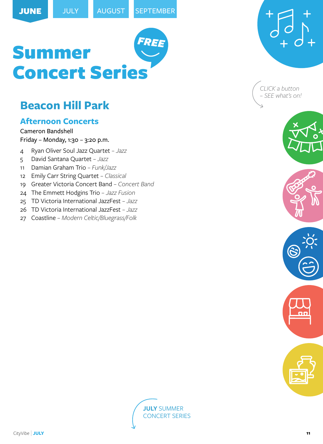# <span id="page-10-0"></span>**[Beacon Hill Park](https://www.google.com/maps/place/Beacon+Hill+Park/@48.4122222,-123.3627779,15z/data=!4m5!3m4!1s0x0:0xb41e4d0e159ad40e!8m2!3d48.4122222!4d-123.3627779)**

# **Afternoon Concerts**

[Cameron Bandshell](https://www.google.com/maps/place/Cameron+Bandshell/@48.4140194,-123.3649337,15z/data=!4m5!3m4!1s0x0:0xdabddc2c4689b33b!8m2!3d48.4140194!4d-123.3649337) Friday – Monday, 1:30 – 3:20 p.m.

- 4 Ryan Oliver Soul Jazz Quartet  *Jazz*
- 5 David Santana Quartet  *Jazz*
- 11 Damian Graham Trio  *Funk/Jazz*
- 12 Emily Carr String Quartet  *Classical*
- 19 Greater Victoria Concert Band  *Concert Band*
- 24 The Emmett Hodgins Trio  *Jazz Fusion*
- 25 TD Victoria International JazzFest  *Jazz*
- 26 TD Victoria International JazzFest  *Jazz*
- 27 Coastline  *Modern Celtic/Bluegrass/Folk*



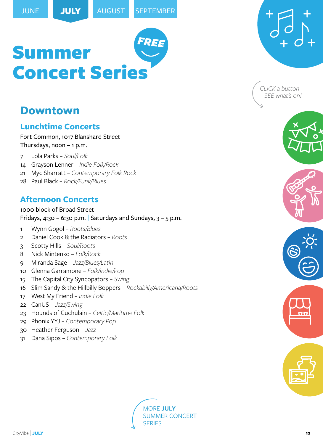# <span id="page-11-0"></span>**Downtown**

### **Lunchtime Concerts**

[Fort Common, 1017 Blanshard Street](https://www.google.com/maps/place/The+Fort+Common/@48.4240958,-123.3622248,15z/data=!4m5!3m4!1s0x0:0x51a69e3352dc15f4!8m2!3d48.4240958!4d-123.3622248) Thursdays, noon – 1 p.m.

- 7 Lola Parks  *Soul/Folk*
- 14 Grayson Lenner  *Indie Folk/Rock*
- 21 Myc Sharratt  *Contemporary Folk Rock*
- 28 Paul Black  *Rock/Funk/Blues*

# **Afternoon Concerts**

[1000 block of Broad Street](https://www.google.com/maps/place/1000+Broad+St,+Victoria,+BC+V8W+1Z9/@48.4241895,-123.3689147,17z/data=!3m1!4b1!4m5!3m4!1s0x548f749aa2523ffb:0xef3b85b316845135!8m2!3d48.4241895!4d-123.366726) Fridays, 4:30 - 6:30 p.m. Saturdays and Sundays,  $3 - 5$  p.m.

- 1 Wynn Gogol  *Roots/Blues*
- 2 Daniel Cook & the Radiators  *Roots*
- 3 Scotty Hills  *Soul/Roots*
- 8 Nick Mintenko  *Folk/Rock*
- 9 Miranda Sage  *Jazz/Blues/Latin*
- 10 Glenna Garramone  *Folk/Indie/Pop*
- 15 The Capital City Syncopators  *Swing*
- 16 Slim Sandy & the Hillbilly Boppers  *Rockabilly/Americana/Roots*
- 17 West My Friend  *Indie Folk*
- 22 CanUS  *Jazz/Swing*
- 23 Hounds of Cuchulain  *Celtic/Maritime Folk*
- 29 Phonix YYJ  *Contemporary Pop*
- 30 Heather Ferguson  *Jazz*
- 31 Dana Sipos  *Contemporary Folk*



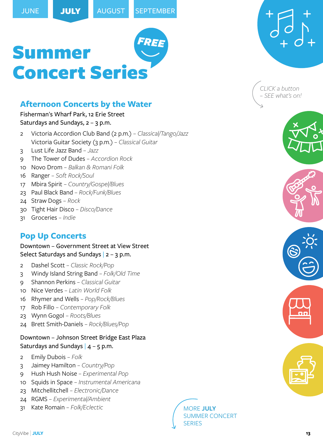# <span id="page-12-0"></span>**Afternoon Concerts by the Water**

#### Fisherman'[s Wharf Park, 12 Erie Street](https://www.google.com/maps/place/Fisherman) Saturdays and Sundays,  $2 - 3$  p.m.

- 2 Victoria Accordion Club Band (2 p.m.)  *Classical/Tango/Jazz* Victoria Guitar Society (3 p.m.) *– Classical Guitar*
- 3 Lust Life Jazz Band  *Jazz*
- 9 The Tower of Dudes  *Accordion Rock*
- 10 Novo Drom  *Balkan & Romani Folk*
- 16 Ranger  *Soft Rock/Soul*
- 17 Mbira Spirit  *Country/Gospel/Blues*
- 23 Paul Black Band  *Rock/Funk/Blues*
- 24 Straw Dogs  *Rock*
- 30 Tight Hair Disco  *Disco/Dance*
- 31 Groceries  *Indie*

# **Pop Up Concerts**

Downtown – [Government Street at View Street](https://www.google.com/maps/place/Government+St+%26+View+St,+Victoria,+BC+V8W+1J2/@48.4256925,-123.3698639,17z/data=!3m1!4b1!4m5!3m4!1s0x548f749ac52cf16d:0xb342fd1c65972b87!8m2!3d48.4256925!4d-123.3676752) Select Saturdays and Sundays  $|2 - 3$  p.m.

- 2 Dashel Scott  *Classic Rock/Pop*
- 3 Windy Island String Band  *Folk/Old Time*
- 9 Shannon Perkins  *Classical Guitar*
- 10 Nice Verdes  *Latin World Folk*
- 16 Rhymer and Wells  *Pop/Rock/Blues*
- 17 Rob Fillo  *Contemporary Folk*
- 23 Wynn Gogol  *Roots/Blues*
- 24 Brett Smith-Daniels  *Rock/Blues/Pop*

#### [Downtown – Johnson Street Bridge East Plaza](https://www.google.com/maps/place/Pandora+Ave+%26+Wharf+St,+Victoria,+BC+V8W+1V3/@48.4285155,-123.371895,17z/data=!3m1!4b1!4m5!3m4!1s0x548f7484aa98a2f7:0x4b4843aa0ddb16e4!8m2!3d48.4285155!4d-123.3697063) Saturdays and Sundays  $|$  4 – 5 p.m.

- 2 Emily Dubois  *Folk*
- 3 Jaimey Hamilton  *Country/Pop*
- 9 Hush Hush Noise  *Experimental Pop*
- 10 Squids in Space  *Instrumental Americana*
- 23 Mitchellitchell  *Electronic/Dance*
- 24 RGMS  *Experimental/Ambient*
- 31 Kate Romain  *Folk/Eclectic* [MORE](#page-13-0) **JULY**







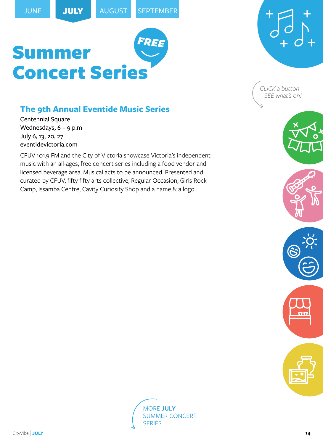# <span id="page-13-0"></span>**The 9th Annual Eventide Music Series**

[Centennial Square](https://www.google.com/maps/place/Centennial+Square/@48.4287178,-123.3657246,15z/data=!4m5!3m4!1s0x0:0x284b11569bbecd16!8m2!3d48.4287178!4d-123.3657246) Wednesdays, 6 – 9 p.m July 6, 13, 20, 27 [eventidevictoria.com](https://eventidevictoria.com/)

CFUV 101.9 FM and the City of Victoria showcase Victoria's independent music with an all-ages, free concert series including a food vendor and licensed beverage area. Musical acts to be announced. Presented and curated by CFUV, fifty fifty arts collective, Regular Occasion, Girls Rock Camp, Issamba Centre, Cavity Curiosity Shop and a name & a logo.







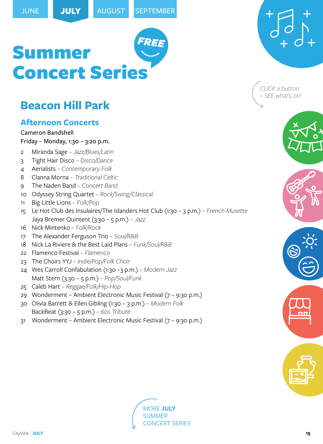# <span id="page-14-0"></span>**[Beacon Hill Park](https://www.google.com/maps/place/Beacon+Hill+Park/@48.4122222,-123.3627779,15z/data=!4m5!3m4!1s0x0:0xb41e4d0e159ad40e!8m2!3d48.4122222!4d-123.3627779)**

# **Afternoon Concerts**

[Cameron Bandshell](https://www.google.com/maps/place/Cameron+Bandshell/@48.4140194,-123.3649337,15z/data=!4m5!3m4!1s0x0:0xdabddc2c4689b33b!8m2!3d48.4140194!4d-123.3649337) Friday – Monday, 1:30 – 3:20 p.m.

- 2 Miranda Sage  *Jazz/Blues/Latin*
- 3 Tight Hair Disco  *Disco/Dance*
- 4 Aerialists  *Contemporary Folk*
- 8 Clanna Morna  *Traditional Celtic*
- 9 The Naden Band  *Concert Band*
- 10 Odyssey String Quartet  *Rock/Swing/Classical*
- 11 Big Little Lions  *Folk/Pop*
- 15 Le Hot Club des Insulaires/The Islanders Hot Club (1:30 3 p.m.)  *French Musette* Jaya Bremer Quintent (3:30 – 5 p.m.) *– Jazz*
- 16 Nick Mintenko  *Folk/Rock*
- 17 The Alexander Ferguson Trio  *Soul/R&B*
- 18 Nick La Riviere & the Best Laid Plans  *Funk/Soul/R&B*
- 22 Flamenco Festival  *Flamenco*
- 23 The Choirs YYJ  *Indie/Pop/Folk Choir*
- 24 Wes Carroll Confabulation (1:30 –3 p.m.)  *Modern Jazz* Matt Stern (3:30 – 5 p.m.) *– Pop/Soul/Funk*
- 25 Caleb Hart  *Reggae/Folk/Hip-Hop*
- 29 Wonderment Ambient Electronic Music Festival (7 9:30 p.m.)
- 30 Olivia Barrett & Ellen Gibling (1:30 3 p.m.)  *Modern Folk* BackBeat (3:30 – 5 p.m.) *– 60s Tribute*
- 31 Wonderment Ambient Electronic Music Festival (7 9:30 p.m.)







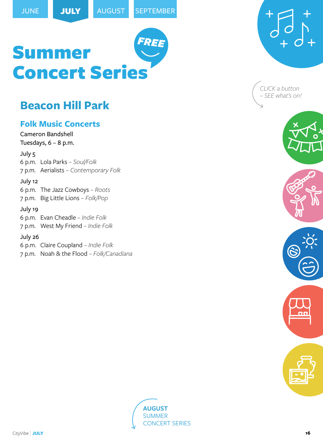# <span id="page-15-0"></span>**[Beacon Hill Park](https://www.google.com/maps/place/Beacon+Hill+Park/@48.4122222,-123.3627779,15z/data=!4m5!3m4!1s0x0:0xb41e4d0e159ad40e!8m2!3d48.4122222!4d-123.3627779)**

# **Folk Music Concerts**

[Cameron Bandshell](https://www.google.com/maps/place/Cameron+Bandshell/@48.4140194,-123.3649337,15z/data=!4m5!3m4!1s0x0:0xdabddc2c4689b33b!8m2!3d48.4140194!4d-123.3649337) Tuesdays,  $6 - 8$  p.m.

July 5

6 p.m. Lola Parks *– Soul/Folk*

7 p.m. Aerialists *– Contemporary Folk*

#### July 12

6 p.m. The Jazz Cowboys *– Roots*

7 p.m. Big Little Lions *– Folk/Pop*

#### July 19

6 p.m. Evan Cheadle *– Indie Folk*

7 p.m. West My Friend *– Indie Folk*

#### July 26

6 p.m. Claire Coupland *– Indie Folk*

7 p.m. Noah & the Flood *– Folk/Canadiana*



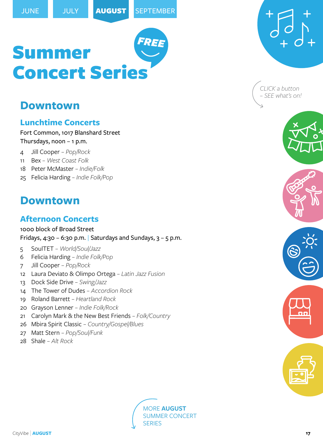# <span id="page-16-0"></span>**Downtown**

### **Lunchtime Concerts**

[Fort Common, 1017 Blanshard Street](https://www.google.com/maps/place/The+Fort+Common/@48.4240958,-123.3622248,15z/data=!4m5!3m4!1s0x0:0x51a69e3352dc15f4!8m2!3d48.4240958!4d-123.3622248) Thursdays, noon – 1 p.m.

- 4 Jill Cooper  *Pop/Rock*
- 11 Bex  *West Coast Folk*
- 18 Peter McMaster  *Indie/Folk*
- 25 Felicia Harding  *Indie Folk/Pop*

# **Downtown**

# **Afternoon Concerts**

[1000 block of Broad Street](https://www.google.com/maps/place/1000+Broad+St,+Victoria,+BC+V8W+1Z9/@48.4241895,-123.3689147,17z/data=!3m1!4b1!4m5!3m4!1s0x548f749aa2523ffb:0xef3b85b316845135!8m2!3d48.4241895!4d-123.366726) Fridays, 4:30 – 6:30 p.m. Saturdays and Sundays,  $3 - 5$  p.m.

- 5 SoulTET  *World/Soul/Jazz*
- 6 Felicia Harding  *Indie Folk/Pop*
- 7 Jill Cooper  *Pop/Rock*
- 12 Laura Deviato & Olimpo Ortega  *Latin Jazz Fusion*
- 13 Dock Side Drive  *Swing/Jazz*
- 14 The Tower of Dudes  *Accordion Rock*
- 19 Roland Barrett  *Heartland Rock*
- 20 Grayson Lenner  *Indie Folk/Rock*
- 21 Carolyn Mark & the New Best Friends  *Folk/Country*
- 26 Mbira Spirit Classic  *Country/Gospel/Blues*
- 27 Matt Stern  *Pop/Soul/Funk*
- 28 Shale  *Alt Rock*





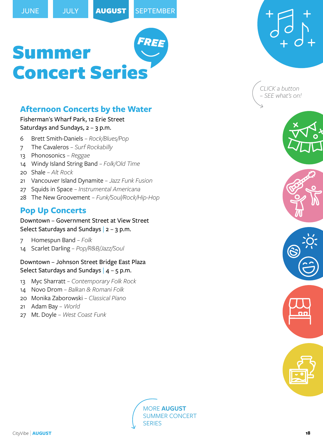# <span id="page-17-0"></span>**Afternoon Concerts by the Water**

#### Fisherman'[s Wharf Park, 12 Erie Street](https://www.google.com/maps/place/Fisherman) Saturdays and Sundays,  $2 - 3$  p.m.

- 6 Brett Smith-Daniels  *Rock/Blues/Pop*
- 7 The Cavaleros  *Surf Rockabilly*
- 13 Phonosonics  *Reggae*
- 14 Windy Island String Band  *Folk/Old Time*
- 20 Shale  *Alt Rock*
- 21 Vancouver Island Dynamite  *Jazz Funk Fusion*
- 27 Squids in Space  *Instrumental Americana*
- 28 The New Groovement  *Funk/Soul/Rock/Hip-Hop*

### **Pop Up Concerts**

Downtown – [Government Street at View Street](https://www.google.com/maps/place/Government+St+%26+View+St,+Victoria,+BC+V8W+1J2/@48.4256925,-123.3698639,17z/data=!3m1!4b1!4m5!3m4!1s0x548f749ac52cf16d:0xb342fd1c65972b87!8m2!3d48.4256925!4d-123.3676752) Select Saturdays and Sundays  $|2 - 3|$  p.m.

- 7 Homespun Band  *Folk*
- 14 Scarlet Darling  *Pop/R&B/Jazz/Soul*

#### [Downtown – Johnson Street Bridge East Plaza](https://www.google.com/maps/place/Pandora+Ave+%26+Wharf+St,+Victoria,+BC+V8W+1V3/@48.4285155,-123.371895,17z/data=!3m1!4b1!4m5!3m4!1s0x548f7484aa98a2f7:0x4b4843aa0ddb16e4!8m2!3d48.4285155!4d-123.3697063) Select Saturdays and Sundays  $|$  4 – 5 p.m.

- 13 Myc Sharratt  *Contemporary Folk Rock*
- 14 Novo Drom  *Balkan & Romani Folk*
- 20 Monika Zaborowski  *Classical Piano*
- 21 Adam Bay  *World*
- 27 Mt. Doyle  *West Coast Funk*





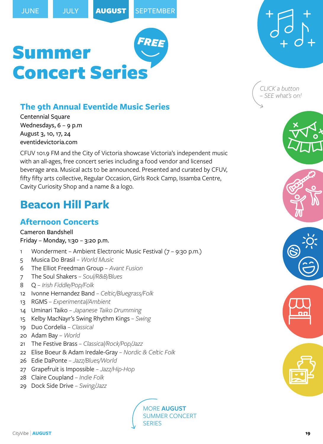# <span id="page-18-0"></span>**The 9th Annual Eventide Music Series**

[Centennial Square](https://www.google.com/maps/place/Centennial+Square/@48.4287178,-123.3657246,15z/data=!4m5!3m4!1s0x0:0x284b11569bbecd16!8m2!3d48.4287178!4d-123.3657246) Wednesdays, 6 – 9 p.m August 3, 10, 17, 24 [eventidevictoria.com](https://eventidevictoria.com/)

CFUV 101.9 FM and the City of Victoria showcase Victoria's independent music with an all-ages, free concert series including a food vendor and licensed beverage area. Musical acts to be announced. Presented and curated by CFUV, fifty fifty arts collective, Regular Occasion, Girls Rock Camp, Issamba Centre, Cavity Curiosity Shop and a name & a logo.

# **[Beacon Hill Park](https://www.google.com/maps/place/Beacon+Hill+Park/@48.4122222,-123.3627779,15z/data=!4m5!3m4!1s0x0:0xb41e4d0e159ad40e!8m2!3d48.4122222!4d-123.3627779)**

# **Afternoon Concerts**

#### [Cameron Bandshell](https://www.google.com/maps/place/Cameron+Bandshell/@48.4140194,-123.3649337,15z/data=!4m5!3m4!1s0x0:0xdabddc2c4689b33b!8m2!3d48.4140194!4d-123.3649337)

Friday – Monday, 1:30 – 3:20 p.m.

- 1 Wonderment Ambient Electronic Music Festival (7 9:30 p.m.)
- 5 Musica Do Brasil  *World Music*
- 6 The Elliot Freedman Group  *Avant Fusion*
- 7 The Soul Shakers  *Soul/R&B/Blues*
- 8 Q  *Irish Fiddle/Pop/Folk*
- 12 Ivonne Hernandez Band  *Celtic/Bluegrass/Folk*
- 13 RGMS  *Experimental/Ambient*
- 14 Uminari Taiko  *Japanese Taiko Drumming*
- 15 Kelby MacNayr's Swing Rhythm Kings  *Swing*
- 19 Duo Cordelia  *Classical*
- 20 Adam Bay  *World*
- 21 The Festive Brass  *Classical/Rock/Pop/Jazz*
- 22 Elise Boeur & Adam Iredale-Gray  *Nordic & Celtic Folk*
- 26 Edie DaPonte  *Jazz/Blues/World*
- 27 Grapefruit is Impossible  *Jazz/Hip-Hop*
- 28 Claire Coupland  *Indie Folk*
- 29 Dock Side Drive  *Swing/Jazz*

MORE **[AUGUST](#page-19-0)** [SUMMER CONCERT](#page-19-0)  **[SERIES](#page-19-0)** 

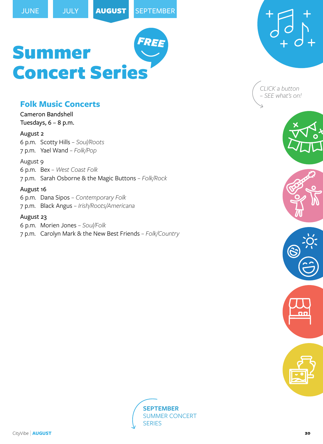### <span id="page-19-0"></span>**Folk Music Concerts**

[Cameron Bandshell](https://www.google.com/maps/place/Cameron+Bandshell/@48.4140194,-123.3649337,15z/data=!4m5!3m4!1s0x0:0xdabddc2c4689b33b!8m2!3d48.4140194!4d-123.3649337) Tuesdays,  $6 - 8$  p.m.

#### August 2

6 p.m. Scotty Hills *– Soul/Roots* 7 p.m. Yael Wand *– Folk/Pop*

August 9

6 p.m. Bex *– West Coast Folk* 7 p.m. Sarah Osborne & the Magic Buttons *– Folk/Rock*

#### August 16

6 p.m. Dana Sipos *– Contemporary Folk* 7 p.m. Black Angus *– Irish/Roots/Americana*

#### August 23

6 p.m. Morien Jones *– Soul/Folk* 7 p.m. Carolyn Mark & the New Best Friends *– Folk/Country*







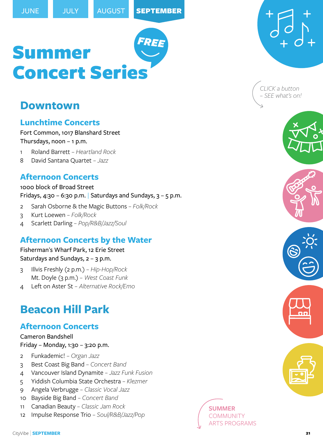# <span id="page-20-0"></span>**Downtown**

### **Lunchtime Concerts**

[Fort Common, 1017 Blanshard Street](https://www.google.com/maps/place/The+Fort+Common/@48.4240958,-123.3622248,15z/data=!4m5!3m4!1s0x0:0x51a69e3352dc15f4!8m2!3d48.4240958!4d-123.3622248) Thursdays, noon – 1 p.m.

- 1 Roland Barrett  *Heartland Rock*
- 8 David Santana Quartet  *Jazz*

### **Afternoon Concerts**

[1000 block of Broad Street](https://www.google.com/maps/place/1000+Broad+St,+Victoria,+BC+V8W+1Z9/@48.4241895,-123.3689147,17z/data=!3m1!4b1!4m5!3m4!1s0x548f749aa2523ffb:0xef3b85b316845135!8m2!3d48.4241895!4d-123.366726) Fridays, 4:30 – 6:30 p.m. Saturdays and Sundays,  $3 - 5$  p.m.

- 2 Sarah Osborne & the Magic Buttons  *Folk/Rock*
- 3 Kurt Loewen  *Folk/Rock*
- 4 Scarlett Darling  *Pop/R&B/Jazz/Soul*

# **Afternoon Concerts by the Water**

Fisherman'[s Wharf Park, 12 Erie Street](https://www.google.com/maps/place/Fisherman) Saturdays and Sundays,  $2 - 3$  p.m.

- 3 Illvis Freshly (2 p.m.)  *Hip-Hop/Rock* Mt. Doyle (3 p.m.) *– West Coast Funk*
- 4 Left on Aster St  *Alternative Rock/Emo*

# **[Beacon Hill Park](https://www.google.com/maps/place/Beacon+Hill+Park/@48.4122222,-123.3627779,15z/data=!4m5!3m4!1s0x0:0xb41e4d0e159ad40e!8m2!3d48.4122222!4d-123.3627779)**

# **Afternoon Concerts**

[Cameron Bandshell](https://www.google.com/maps/place/Cameron+Bandshell/@48.4140194,-123.3649337,15z/data=!4m5!3m4!1s0x0:0xdabddc2c4689b33b!8m2!3d48.4140194!4d-123.3649337) Friday – Monday, 1:30 – 3:20 p.m.

- 2 Funkademic!  *Organ Jazz*
- 3 Best Coast Big Band  *Concert Band*
- 4 Vancouver Island Dynamite  *Jazz Funk Fusion*
- 5 Yiddish Columbia State Orchestra  *Klezmer*
- 9 Angela Verbrugge  *Classic Vocal Jazz*
- 10 Bayside Big Band  *Concert Band*
- 11 Canadian Beauty  *Classic Jam Rock*
- 12 Impulse Response Trio  *Soul/R&B/Jazz/Pop*



*CLICK a button – SEE what's on!*



### **[SUMMER](#page-21-0)** [COMMUNITY](#page-21-0)  TS PROGRAMS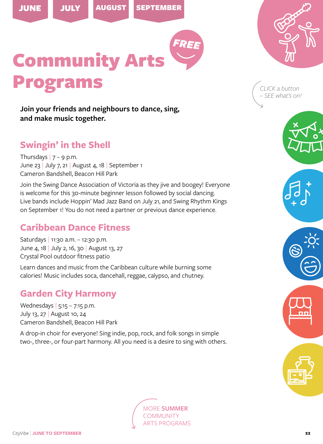<span id="page-21-0"></span>



Community Arts Programs

**Join your friends and neighbours to dance, sing, and make music together.**

# **Swingin' in the Shell**

Thursdays  $|7 - 9$  p.m. June 23 | July 7, 21 | August 4, 18 | September 1 [Cameron Bandshell, Beacon Hill Park](https://www.google.com/maps/place/Cameron+Bandshell/@48.4140194,-123.3649337,15z/data=!4m5!3m4!1s0x0:0xdabddc2c4689b33b!8m2!3d48.4140194!4d-123.3649337)

Join the Swing Dance Association of Victoria as they jive and boogey! Everyone is welcome for this 30-minute beginner lesson followed by social dancing. Live bands include Hoppin' Mad Jazz Band on July 21, and Swing Rhythm Kings on September 1! You do not need a partner or previous dance experience.

# **Caribbean Dance Fitness**

Saturdays | 11:30 a.m. – 12:30 p.m. June 4, 18 | July 2, 16, 30 | August 13, 27 [Crystal Pool outdoor fitness patio](https://www.google.com/maps/place/Crystal+Pool+%26+Fitness+Centre/@48.433442,-123.357335,15z/data=!4m5!3m4!1s0x0:0x87c5534c7837dfeb!8m2!3d48.433442!4d-123.357335)

Learn dances and music from the Caribbean culture while burning some calories! Music includes soca, dancehall, reggae, calypso, and chutney.

# **Garden City Harmony**

Wednesdays | 5:15 – 7:15 p.m. July 13, 27 | August 10, 24 [Cameron Bandshell, Beacon Hill Park](https://www.google.com/maps/place/Cameron+Bandshell/@48.4140194,-123.3649337,15z/data=!4m5!3m4!1s0x0:0xdabddc2c4689b33b!8m2!3d48.4140194!4d-123.3649337)

A drop-in choir for everyone! Sing indie, pop, rock, and folk songs in simple two-, three-, or four-part harmony. All you need is a desire to sing with others.







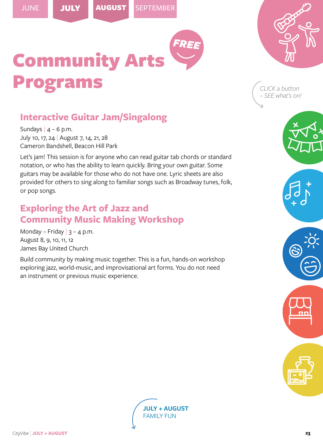<span id="page-22-0"></span>[JUNE](#page-21-0) JULY AUGUST [SEPTEMBER](#page-21-0)



Community Arts rogram

*CLICK a button – SEE what's on!*

# **Interactive Guitar Jam/Singalong**

Sundays  $|$  4 – 6 p.m. July 10, 17, 24 | August 7, 14, 21, 28 [Cameron Bandshell, Beacon Hill Park](https://www.google.com/maps/place/Cameron+Bandshell/@48.4140194,-123.3649337,15z/data=!4m5!3m4!1s0x0:0xdabddc2c4689b33b!8m2!3d48.4140194!4d-123.3649337)

Let's jam! This session is for anyone who can read guitar tab chords or standard notation, or who has the ability to learn quickly. Bring your own guitar. Some guitars may be available for those who do not have one. Lyric sheets are also provided for others to sing along to familiar songs such as Broadway tunes, folk, or pop songs.

# **Exploring the Art of Jazz and Community Music Making Workshop**

Monday – Friday  $|3 - 4$  p.m. August 8, 9, 10, 11, 12 [James Bay United Church](https://www.google.com/maps/place/James+Bay+United+Church/@48.416698,-123.372602,15z/data=!4m5!3m4!1s0x0:0x25866877ba56c66!8m2!3d48.4167924!4d-123.3725533)

Build community by making music together. This is a fun, hands-on workshop exploring jazz, world-music, and improvisational art forms. You do not need an instrument or previous music experience.

> **[JULY + AUGUST](#page-23-0)**  [FAMILY FUN](#page-23-0)

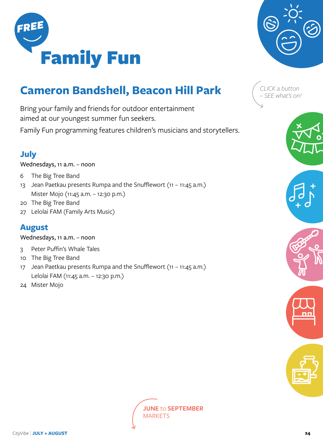

# **[Cameron Bandshell, Beacon Hill Park](https://www.google.com/maps/place/Cameron+Bandshell/@48.4140194,-123.3649337,15z/data=!4m5!3m4!1s0x0:0xdabddc2c4689b33b!8m2!3d48.4140194!4d-123.3649337)**

Bring your family and friends for outdoor entertainment aimed at our youngest summer fun seekers.

Family Fun programming features children's musicians and storytellers.

# **July**

Wednesdays, 11 a.m. – noon

- 6 The Big Tree Band
- 13 Jean Paetkau presents Rumpa and the Snufflewort (11 11:45 a.m.) Mister Mojo (11:45 a.m. – 12:30 p.m.)
- 20 The Big Tree Band
- 27 Lelolai FAM (Family Arts Music)

# **August**

Wednesdays, 11 a.m. – noon

- 3 Peter Puffin's Whale Tales
- 10 The Big Tree Band
- 17 Jean Paetkau presents Rumpa and the Snufflewort (11 11:45 a.m.) Lelolai FAM (11:45 a.m. – 12:30 p.m.)
- 24 Mister Mojo

**JUNE** to **[SEPTEMBER](#page-27-0)  [MARKETS](#page-27-0)** 



<span id="page-23-0"></span>





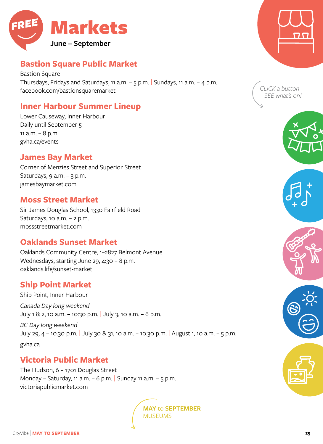<span id="page-24-0"></span>

# **Bastion Square Public Market**

[Bastion Square](https://www.google.com/maps/place/Bastion+Square,+Victoria,+BC/@48.4258102,-123.3690053,17z/data=!3m1!4b1!4m5!3m4!1s0x548f749ae0831a89:0x86747bf131cb1b36!8m2!3d48.4258102!4d-123.3690053) Thursdays, Fridays and Saturdays, 11 a.m.  $-$  5 p.m. Sundays, 11 a.m.  $-$  4 p.m. [facebook.com/bastionsquaremarket](https://www.facebook.com/bastionsquaremarket)

# **Inner Harbour Summer Lineup**

[Lower Causeway, Inner Harbour](https://www.google.com/maps/place/Inner+Harbour+Lower+Causeway/@48.4218342,-123.3712317,17z/data=!3m1!4b1!4m5!3m4!1s0x548f7502fde40be7:0xa144ad0e2a9c8f17!8m2!3d48.4218342!4d-123.369043) Daily until September 5 11 a.m. – 8 p.m. [gvha.ca/events](https://gvha.ca/events/inner-harbour-line-up/)

#### **James Bay Market**

[Corner of Menzies Street and Superior Str](https://www.google.com/maps/place/Menzies+St+%26+Superior+St,+Victoria,+BC+V8V+1T7/@48.4180649,-123.3746031,17z/data=!3m1!4b1!4m5!3m4!1s0x548f749643a43d83:0x97c7258d11ae0011!8m2!3d48.4180649!4d-123.3724144)eet Saturdays,  $9$  a.m.  $-$  3 p.m. [jamesbaymarket.com](http://jamesbaymarket.com/)

#### **Moss Street Market**

[Sir James Douglas School, 1330 Fairfield Road](https://www.google.com/maps/place/1330+Fairfield+Rd,+Victoria,+BC+V8S+5J1/@48.415119,-123.3497807,17z/data=!3m1!4b1!4m5!3m4!1s0x548f74f24c71f77d:0x1d1465392726727c!8m2!3d48.415119!4d-123.347592) Saturdays, 10 a.m. – 2 p.m. [mossstreetmarket.com](http://www.mossstreetmarket.com/)

### **Oaklands Sunset Market**

[Oaklands Community Centre, 1–2827 Belmont Ave](https://www.google.com/maps/place/Oaklands+Community+Centre+%26+Association/@48.4409977,-123.3384581,15z/data=!4m5!3m4!1s0x0:0x8f533fcf626a69b0!8m2!3d48.4410088!4d-123.3385982)nue Wednesdays, starting June 29, 4:30 - 8 p.m. [oaklands.life/sunset-market](https://oaklands.life/sunset-market)

### **Ship Point Market**

[Ship Point, Inner Harbour](https://www.google.com/maps/place/Ship+Point+Market/@48.4228659,-123.3689381,15z/data=!4m5!3m4!1s0x0:0xc2032900f15f7afe!8m2!3d48.4228659!4d-123.3689381) *Canada Day long weekend* July 1 & 2, 10 a.m. – 10:30 p.m. | July 3, 10 a.m. – 6 p.m. *BC Day long weekend*

July 29, 4 – 10:30 p.m. | July 30 & 31, 10 a.m. – 10:30 p.m. | August 1, 10 a.m. – 5 p.m. [gvha.ca](https://gvha.ca/events/ship-point-market/)

### **Victoria Public Market**

[The Hudson, 6 – 1701 Douglas Street](https://www.google.com/maps/place/Victoria+Public+Market+at+the+Hudson/@48.4298125,-123.3641684,15z/data=!4m5!3m4!1s0x0:0x5e6ccc8e7b42abd3!8m2!3d48.4298125!4d-123.3641684) Monday – Saturday, 11 a.m. – 6 p.m. Sunday 11 a.m. – 5 p.m. [victoriapublicmarket.com](https://victoriapublicmarket.com/)

> **MAY** to **[SEPTEMBER](#page-25-0)**  [MUSEUMS](#page-25-0)







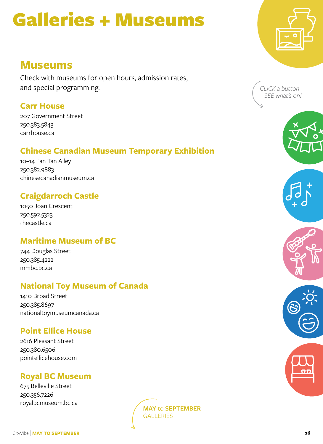# <span id="page-25-0"></span>Galleries + Museums

# **Museums**

Check with museums for open hours, admission rates, and special programming.

# **Carr House**

[207 Government Street](https://www.google.com/maps/place/207+Government+St,+Victoria,+BC+V8V+2K8/@48.4137715,-123.3718437,17z/data=!3m1!4b1!4m5!3m4!1s0x548f7495634a4143:0x909eae6e632449f0!8m2!3d48.4137715!4d-123.369655) 250.383.5843 [carrhouse.ca](https://carrhouse.ca/)

# **Chinese Canadian Museum Temporary Exhibition**

[10–14 Fan Tan Alley](https://www.google.com/maps/place/10+Fan+Tan+Alley,+Victoria,+BC+V8W+1W3/@48.4288521,-123.3701244,17z/data=!3m1!4b1!4m5!3m4!1s0x548f7484a186a251:0x4b4cc4e78e0947f0!8m2!3d48.4288521!4d-123.3679357) 250.382.9883 [chinesecanadianmuseum.ca](http://chinesecanadianmuseum.ca)

# **Craigdarroch Castle**

[1050 Joan Crescent](https://www.google.com/maps/place/1050+Joan+Crescent,+Victoria,+BC+V8S+3L5/@48.4226966,-123.3459032,17z/data=!3m1!4b1!4m5!3m4!1s0x548f748a88a9df65:0xf7f709124a3dc6df!8m2!3d48.4226966!4d-123.3437145) 250.592.5323 [thecastle.ca](https://thecastle.ca/)

# **Maritime Museum of BC**

[744 Douglas Street](https://www.google.com/maps/place/744+Douglas+St,+Victoria,+BC+V8W+3M6/@48.4218702,-123.3684987,17z/data=!3m1!4b1!4m5!3m4!1s0x548f7490f9cccf7b:0x3f70210750c77af0!8m2!3d48.4218702!4d-123.36631) 250.385.4222 [mmbc.bc.ca](https://mmbc.bc.ca/)

# **National Toy Museum of Canada**

[1410 Broad Street](https://www.google.com/maps/place/1410+Broad+St,+Victoria,+BC+V8W+2B1/@48.4276935,-123.3684314,17z/data=!3m1!4b1!4m5!3m4!1s0x548f7484e822f757:0x86798fa5f425e542!8m2!3d48.4276935!4d-123.3662427) 250.385.8697 [nationaltoymuseumcanada.ca](http://www.nationaltoymuseumcanada.ca/)

# **Point Ellice House**

[2616 Pleasant Street](https://www.google.com/maps/place/2616+Pleasant+St,+Victoria,+BC+V8T+4V3/@48.4360522,-123.3794623,17z/data=!3m1!4b1!4m5!3m4!1s0x548f737c94368991:0x50f9bf3ae215f3dd!8m2!3d48.4360522!4d-123.3772736) 250.380.6506 [pointellicehouse.com](https://pointellicehouse.com/)

# **Royal BC Museum**

[675 Belleville Street](https://www.google.com/maps/place/675+Belleville+St,+Victoria,+BC+V8W+9W2/@48.4197265,-123.3698939,17z/data=!3m1!4b1!4m5!3m4!1s0x548f749133522a77:0x749474af3da7a35c!8m2!3d48.4197265!4d-123.3677052) 250.356.7226 [royalbcmuseum.bc.ca](http://royalbcmuseum.bc.ca/)









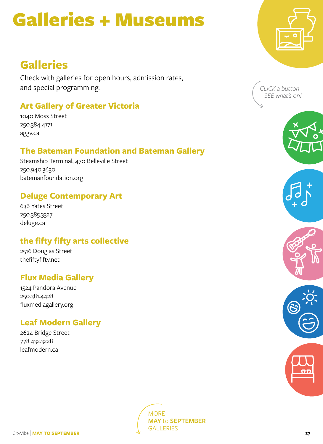# <span id="page-26-0"></span>Galleries + Museums

# **Galleries**

Check with galleries for open hours, admission rates, and special programming.

# **Art Gallery of Greater Victoria**

[1040 Moss Street](https://www.google.com/maps/place/1040+Moss+St,+Victoria,+BC+V8V+4P1/@48.4218417,-123.3498613,17z/data=!3m1!4b1!4m5!3m4!1s0x548f748ba7b427b9:0x1240de2f80f6f67b!8m2!3d48.4218417!4d-123.3476726) 250.384.4171 [aggv.ca](https://aggv.ca/)

# **The Bateman Foundation and Bateman Gallery**

[Steamship Terminal, 470 Belleville Street](https://www.google.com/maps/place/Steamship+Terminal/@48.4210096,-123.3711454,15z/data=!4m2!3m1!1s0x0:0x48da371c9dfe32ec?sa=X&ved=2ahUKEwjjtM-_y6X3AhXjpFsKHf1kD1UQ_BJ6BAhdEAU) 250.940.3630 [batemanfoundation.org](https://batemanfoundation.org/)

# **Deluge Contemporary Art**

[636 Yates Street](https://www.google.com/maps/place/636+Yates+St,+Victoria,+BC+V8W+1L3/@48.4265676,-123.3680871,17z/data=!3m1!4b1!4m5!3m4!1s0x548f748525e9be1b:0x1beafe7cd1d30971!8m2!3d48.4265676!4d-123.3658984) 250.385.3327 [deluge.ca](https://deluge.squarespace.com/)

# **the fifty fifty arts collective**

[2516 Douglas Street](https://www.google.com/maps/place/2516+Douglas+St,+Victoria,+BC+V8T+4M1/@48.4361915,-123.3682343,17z/data=!3m1!4b1!4m5!3m4!1s0x548f737e31a54307:0x7fcc6e939a8d98ae!8m2!3d48.4361915!4d-123.3660456) [thefiftyfifty.net](http://thefiftyfifty.net/)

### **Flux Media Gallery**

[1524 Pandora Avenue](https://www.google.com/maps?client=firefox-b-d&q=1524+Pandora+Avenue&um=1&ie=UTF-8&sa=X&ved=2ahUKEwirt4qS-eb3AhX0HTQIHfGxDj4Q_AUoAXoECAEQAw) 250.381.4428 [fluxmediagallery.org](https://flux-media-gallery.squarespace.com/)

# **Leaf Modern Gallery**

[2624 Bridge Street](https://www.google.com/maps/place/2624+Bridge+St,+Victoria,+BC+V8T+4S9/@48.4367376,-123.3755501,17z/data=!3m1!4b1!4m5!3m4!1s0x548f737c38a14b09:0x4046bad425a25c23!8m2!3d48.4367376!4d-123.3733614) 778.432.3228 [leafmodern.ca](https://leafmodern.ca/)